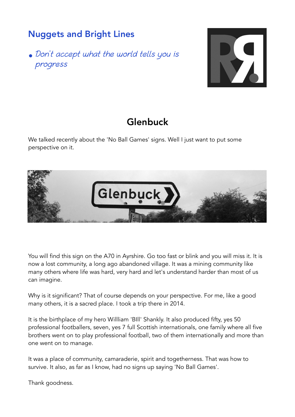## Nuggets and Bright Lines

• Don't accept what the world tells you is progress



## Glenbuck

We talked recently about the 'No Ball Games' signs. Well I just want to put some perspective on it.



You will find this sign on the A70 in Ayrshire. Go too fast or blink and you will miss it. It is now a lost community, a long ago abandoned village. It was a mining community like many others where life was hard, very hard and let's understand harder than most of us can imagine.

Why is it significant? That of course depends on your perspective. For me, like a good many others, it is a sacred place. I took a trip there in 2014.

It is the birthplace of my hero Willliam 'BIll' Shankly. It also produced fifty, yes 50 professional footballers, seven, yes 7 full Scottish internationals, one family where all five brothers went on to play professional football, two of them internationally and more than one went on to manage.

It was a place of community, camaraderie, spirit and togetherness. That was how to survive. It also, as far as I know, had no signs up saying 'No Ball Games'.

Thank goodness.